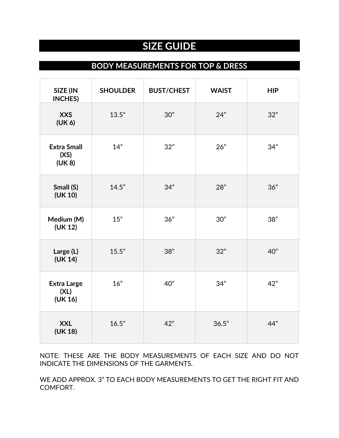# **SIZE GUIDE**

### **BODY MEASUREMENTS FOR TOP & DRESS**

| SIZE (IN<br><b>INCHES)</b>            | <b>SHOULDER</b> | <b>BUST/CHEST</b> | <b>WAIST</b> | <b>HIP</b> |
|---------------------------------------|-----------------|-------------------|--------------|------------|
| <b>XXS</b><br>(UK 6)                  | 13.5"           | 30"               | 24"          | 32"        |
| <b>Extra Small</b><br>(XS)<br>(UK 8)  | 14"             | 32"               | 26"          | 34"        |
| Small (S)<br>(UK 10)                  | 14.5"           | 34"               | 28"          | 36"        |
| Medium (M)<br>(UK 12)                 | 15"             | 36"               | 30"          | 38"        |
| Large (L)<br>(UK 14)                  | 15.5"           | 38"               | 32"          | 40"        |
| <b>Extra Large</b><br>(XL)<br>(UK 16) | 16"             | 40"               | 34"          | 42"        |
| <b>XXL</b><br>(UK 18)                 | 16.5"           | 42"               | 36.5"        | 44"        |

NOTE: THESE ARE THE BODY MEASUREMENTS OF EACH SIZE AND DO NOT INDICATE THE DIMENSIONS OF THE GARMENTS.

WE ADD APPROX. 3" TO EACH BODY MEASUREMENTS TO GET THE RIGHT FIT AND COMFORT.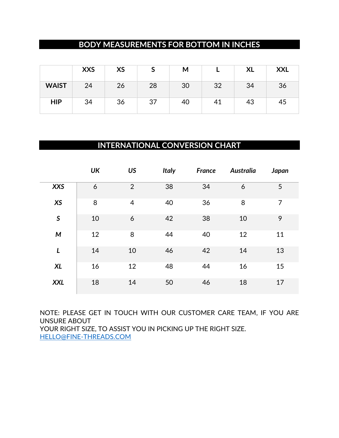## **BODY MEASUREMENTS FOR BOTTOM IN INCHES**

|              | <b>XXS</b> | <b>XS</b> | ت  | М  |    | <b>XL</b> | <b>XXL</b> |
|--------------|------------|-----------|----|----|----|-----------|------------|
| <b>WAIST</b> | 24         | 26        | 28 | 30 | 32 | 34        | 36         |
| <b>HIP</b>   | 34         | 36        | 37 | 40 | 41 | 43        | 45         |

#### **INTERNATIONAL CONVERSION CHART**

|                           | <b>UK</b> | <b>US</b>      | <b>Italy</b> | France | <b>Australia</b> | Japan |
|---------------------------|-----------|----------------|--------------|--------|------------------|-------|
| <b>XXS</b>                | 6         | $\overline{2}$ | 38           | 34     | 6                | 5     |
| <b>XS</b>                 | 8         | $\overline{4}$ | 40           | 36     | 8                | 7     |
| $\boldsymbol{\mathsf{S}}$ | 10        | 6              | 42           | 38     | 10               | 9     |
| M                         | 12        | 8              | 44           | 40     | 12               | 11    |
| L                         | 14        | 10             | 46           | 42     | 14               | 13    |
| <b>XL</b>                 | 16        | 12             | 48           | 44     | 16               | 15    |
| <b>XXL</b>                | 18        | 14             | 50           | 46     | 18               | 17    |

NOTE: PLEASE GET IN TOUCH WITH OUR CUSTOMER CARE TEAM, IF YOU ARE UNSURE ABOUT YOUR RIGHT SIZE, TO ASSIST YOU IN PICKING UP THE RIGHT SIZE. [HELLO@FINE-THREADS.COM](mailto:hello@fine-threads.com)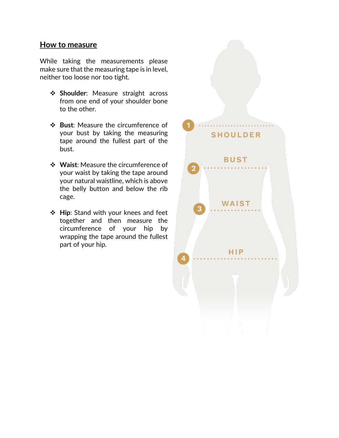#### **How to measure**

While taking the measurements please make sure that the measuring tape is in level, neither too loose nor too tight.

- ❖ **Shoulder**: Measure straight across from one end of your shoulder bone to the other.
- ❖ **Bust**: Measure the circumference of your bust by taking the measuring tape around the fullest part of the bust.
- ❖ **Waist**: Measure the circumference of your waist by taking the tape around your natural waistline, which is above the belly button and below the rib cage.
- ❖ **Hip**: Stand with your knees and feet together and then measure the circumference of your hip by wrapping the tape around the fullest part of your hip.